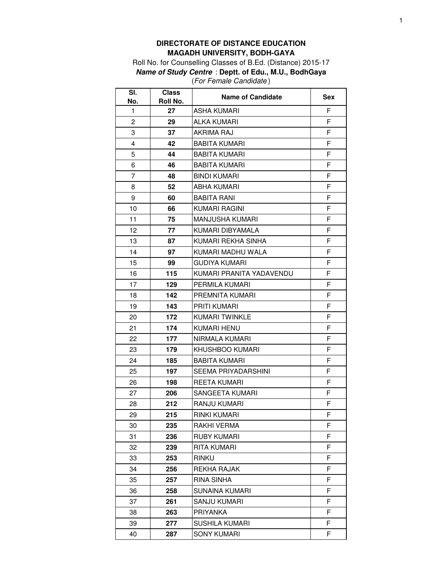## **DIRECTORATE OF DISTANCE EDUCATION MAGADH UNIVERSITY, BODH-GAYA**

Roll No. for Counselling Classes of B.Ed. (Distance) 2015-17 **Name of Study Centre** : **Deptt. of Edu., M.U., BodhGaya** (For Female Candidate )

| SI.<br>No.     | <b>Class</b><br>Roll No. | <b>Name of Candidate</b> | Sex |
|----------------|--------------------------|--------------------------|-----|
| 1              | 27                       | <b>ASHA KUMARI</b>       | F   |
| 2              | 29                       | ALKA KUMARI              | F   |
| 3              | 37                       | <b>AKRIMA RAJ</b>        | F   |
| 4              | 42                       | <b>BABITA KUMARI</b>     | F   |
| 5              | 44                       | <b>BABITA KUMARI</b>     | F   |
| 6              | 46                       | BABITA KUMARI            | F   |
| $\overline{7}$ | 48                       | <b>BINDI KUMARI</b>      | F   |
| 8              | 52                       | ABHA KUMARI              | F   |
| 9              | 60                       | <b>BABITA RANI</b>       | F   |
| 10             | 66                       | KUMARI RAGINI            | F   |
| 11             | 75                       | MANJUSHA KUMARI          | F   |
| 12             | 77                       | KUMARI DIBYAMALA         | F   |
| 13             | 87                       | KUMARI REKHA SINHA       | F   |
| 14             | 97                       | KUMARI MADHU WALA        | F   |
| 15             | 99                       | <b>GUDIYA KUMARI</b>     | F   |
| 16             | 115                      | KUMARI PRANITA YADAVENDU | F   |
| 17             | 129                      | PERMILA KUMARI           | F   |
| 18             | 142                      | PREMNITA KUMARI          | F   |
| 19             | 143                      | <b>PRITI KUMARI</b>      | F   |
| 20             | 172                      | <b>KUMARI TWINKLE</b>    | F   |
| 21             | 174                      | <b>KUMARI HENU</b>       | F   |
| 22             | 177                      | NIRMALA KUMARI           | F   |
| 23             | 179                      | KHUSHBOO KUMARI          | F   |
| 24             | 185                      | BABITA KUMARI            | F   |
| 25             | 197                      | SEEMA PRIYADARSHINI      | F   |
| 26             | 198                      | REETA KUMARI             | F   |
| 27             | 206                      | SANGEETA KUMARI          | F   |
| 28             | 212                      | RANJU KUMARI             | F   |
| 29             | 215                      | RINKI KUMARI             | F   |
| 30             | 235                      | RAKHI VERMA              | F   |
| 31             | 236                      | <b>RUBY KUMARI</b>       | F   |
| 32             | 239                      | RITA KUMARI              | F   |
| 33             | 253                      | <b>RINKU</b>             | F   |
| 34             | 256                      | REKHA RAJAK              | F   |
| 35             | 257                      | RINA SINHA               | F   |
| 36             | 258                      | SUNAINA KUMARI           | F   |
| 37             | 261                      | SANJU KUMARI             | F   |
| 38             | 263                      | PRIYANKA                 | F   |
| 39             | 277                      | SUSHILA KUMARI           | F   |
| 40             | 287                      | <b>SONY KUMARI</b>       | F   |